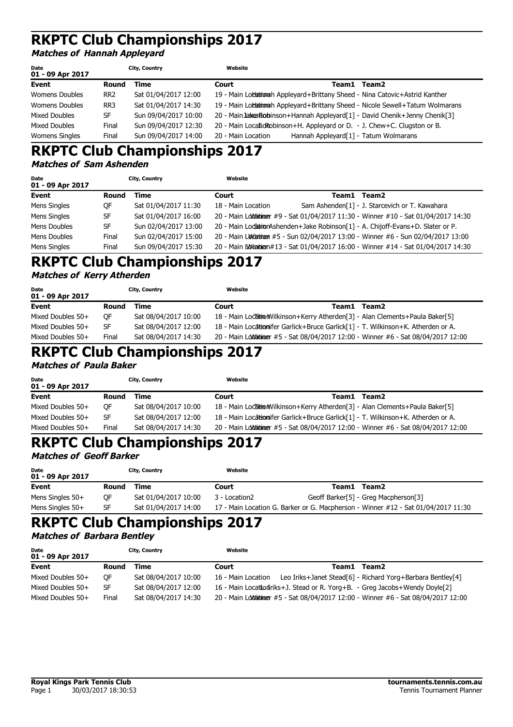#### **Matches of Hannah Appleyard**

| Date<br>01 - 09 Apr 2017 |                 | City, Country        | Website            |                                                   |                                                                                   |
|--------------------------|-----------------|----------------------|--------------------|---------------------------------------------------|-----------------------------------------------------------------------------------|
| Event                    | Round           | Time                 | Court              | Team1                                             | Team2                                                                             |
| <b>Womens Doubles</b>    | RR <sub>2</sub> | Sat 01/04/2017 12:00 |                    |                                                   | 19 - Main Lochationah Appleyard+Brittany Sheed - Nina Catovic+Astrid Kanther      |
| Womens Doubles           | RR3             | Sat 01/04/2017 14:30 |                    |                                                   | 19 - Main Locationah Appleyard+Brittany Sheed - Nicole Sewell+Tatum Wolmarans     |
| Mixed Doubles            | SF              | Sun 09/04/2017 10:00 |                    |                                                   | 20 - Main Jakea Robinson + Hannah Appleyard [1] - David Chenik + Jenny Chenik [3] |
| Mixed Doubles            | Final           | Sun 09/04/2017 12:30 |                    |                                                   | 20 - Main Locatic Robinson+H. Appleyard or D. - J. Chew+C. Clugston or B.         |
| <b>Womens Singles</b>    | Final           | Sun 09/04/2017 14:00 | 20 - Main Location | Hannah Appleyard <sup>[1]</sup> - Tatum Wolmarans |                                                                                   |

### **RKPTC Club Championships 2017 Matches of Sam Ashenden**

| Date<br>01 - 09 Apr 2017 |       | City, Country        | Website            |             |                                                                                       |
|--------------------------|-------|----------------------|--------------------|-------------|---------------------------------------------------------------------------------------|
| <b>Event</b>             | Round | Time                 | Court              | Team1 Team2 |                                                                                       |
| Mens Singles             | 0F    | Sat 01/04/2017 11:30 | 18 - Main Location |             | Sam Ashenden[1] - J. Starcevich or T. Kawahara                                        |
| Mens Singles             | SF    | Sat 01/04/2017 16:00 |                    |             | 20 - Main Lolotaininger #9 - Sat 01/04/2017 11:30 - Winner #10 - Sat 01/04/2017 14:30 |
| Mens Doubles             | SF    | Sun 02/04/2017 13:00 |                    |             | 20 - Main Locsation Ashenden + Jake Robinson [1] - A. Chijoff-Evans + D. Slater or P. |
| Mens Doubles             | Final | Sun 02/04/2017 15:00 |                    |             | 20 - Main Lovetatingen #5 - Sun 02/04/2017 13:00 - Winner #6 - Sun 02/04/2017 13:00   |
| Mens Singles             | Final | Sun 09/04/2017 15:30 |                    |             | 20 - Main Lovina bien #13 - Sat 01/04/2017 16:00 - Winner #14 - Sat 01/04/2017 14:30  |

# **RKPTC Club Championships 2017**

#### **Matches of Kerry Atherden**

| Date<br>01 - 09 Apr 2017 |           | City, Country        | Website |       |                                                                                      |
|--------------------------|-----------|----------------------|---------|-------|--------------------------------------------------------------------------------------|
| Event                    | Round     | Time                 | Court   | Team1 | Team2                                                                                |
| Mixed Doubles 50+        | <b>OF</b> | Sat 08/04/2017 10:00 |         |       | 18 - Main LocationWilkinson+Kerry Atherden[3] - Alan Clements+Paula Baker[5]         |
| Mixed Doubles 50+        | SF        | Sat 08/04/2017 12:00 |         |       | 18 - Main Locationifer Garlick+Bruce Garlick[1] - T. Wilkinson+K. Atherden or A.     |
| Mixed Doubles 50+        | Final     | Sat 08/04/2017 14:30 |         |       | 20 - Main Lolofailioner #5 - Sat 08/04/2017 12:00 - Winner #6 - Sat 08/04/2017 12:00 |

#### **RKPTC Club Championships 2017 Matches of Paula Baker**

| <b>Date</b><br>01 - 09 Apr 2017 |       | City, Country        | Website |                                                                                     |
|---------------------------------|-------|----------------------|---------|-------------------------------------------------------------------------------------|
| Event                           | Round | Time                 | Court   | Team1<br>Team2                                                                      |
| Mixed Doubles 50+               | OF.   | Sat 08/04/2017 10:00 |         | 18 - Main Locaitio Wilkinson + Kerry Atherden [3] - Alan Clements + Paula Baker [5] |
| Mixed Doubles 50+               | SF.   | Sat 08/04/2017 12:00 |         | 18 - Main Locationifer Garlick+Bruce Garlick[1] - T. Wilkinson+K. Atherden or A.    |
| Mixed Doubles 50+               | Final | Sat 08/04/2017 14:30 |         | 20 - Main Loloanimer #5 - Sat 08/04/2017 12:00 - Winner #6 - Sat 08/04/2017 12:00   |

# **RKPTC Club Championships 2017**

#### **Matches of Geoff Barker**

| Date<br>01 - 09 Apr 2017 |           | City, Country        | Website       |       |                                                                                   |
|--------------------------|-----------|----------------------|---------------|-------|-----------------------------------------------------------------------------------|
| Event                    | Round     | Time                 | Court         | Team1 | Team2                                                                             |
| Mens Singles $50+$       | <b>OF</b> | Sat 01/04/2017 10:00 | 3 - Location2 |       | Geoff Barker[5] - Greg Macpherson[3]                                              |
| Mens Singles $50+$       | SF        | Sat 01/04/2017 14:00 |               |       | 17 - Main Location G. Barker or G. Macpherson - Winner #12 - Sat 01/04/2017 11:30 |

# **RKPTC Club Championships 2017**

**Matches of Barbara Bentley**

| Date<br>01 - 09 Apr 2017 |           | City, Country        | Website            |                                                                                      |  |
|--------------------------|-----------|----------------------|--------------------|--------------------------------------------------------------------------------------|--|
| Event                    | Round     | Time                 | Court              | Team2<br>Team1                                                                       |  |
| Mixed Doubles 50+        | <b>OF</b> | Sat 08/04/2017 10:00 | 16 - Main Location | Leo Iriks+Janet Stead[6] - Richard Yorg+Barbara Bentley[4]                           |  |
| Mixed Doubles 50+        | SF        | Sat 08/04/2017 12:00 |                    | 16 - Main Location Triks + J. Stead or R. Yorg + B. - Greg Jacobs + Wendy Doyle [2]  |  |
| Mixed Doubles 50+        | Final     | Sat 08/04/2017 14:30 |                    | 20 - Main Lolofaibioger #5 - Sat 08/04/2017 12:00 - Winner #6 - Sat 08/04/2017 12:00 |  |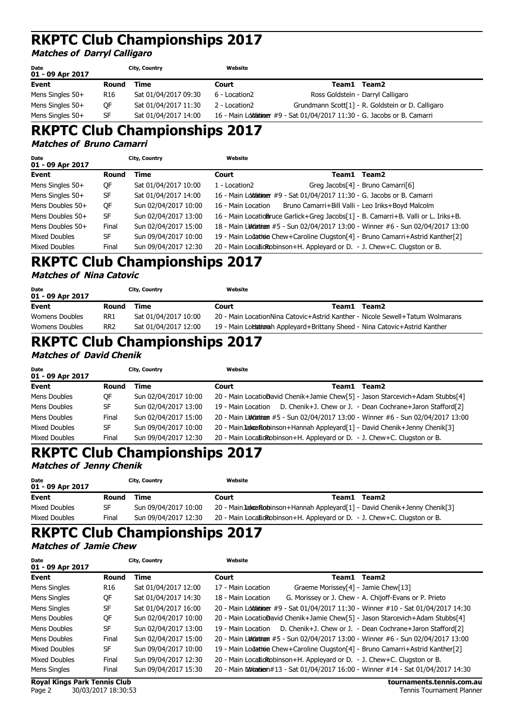## **Matches of Darryl Calligaro**

| Date<br>01 - 09 Apr 2017 |                 | City, Country        | Website       |                                                                            |
|--------------------------|-----------------|----------------------|---------------|----------------------------------------------------------------------------|
| Event                    | Round           | Time                 | Court         | Team2<br>Team1                                                             |
| Mens Singles $50+$       | R <sub>16</sub> | Sat 01/04/2017 09:30 | 6 - Location2 | Ross Goldstein - Darryl Calligaro                                          |
| Mens Singles $50+$       | OF              | Sat 01/04/2017 11:30 | 2 - Location2 | Grundmann Scott[1] - R. Goldstein or D. Calligaro                          |
| Mens Singles 50+         | SF              | Sat 01/04/2017 14:00 |               | 16 - Main Lolotationer #9 - Sat 01/04/2017 11:30 - G. Jacobs or B. Camarri |

## **RKPTC Club Championships 2017**

**Matches of Bruno Camarri**

| Date<br>01 - 09 Apr 2017 |           | City, Country        | Website            |                                                                               |                                                                                    |
|--------------------------|-----------|----------------------|--------------------|-------------------------------------------------------------------------------|------------------------------------------------------------------------------------|
| Event                    | Round     | Time                 | Court              |                                                                               | Team1 Team2                                                                        |
| Mens Singles $50+$       | QF        | Sat 01/04/2017 10:00 | 1 - Location2      |                                                                               | Greg Jacobs[4] - Bruno Camarri[6]                                                  |
| Mens Singles 50+         | <b>SF</b> | Sat 01/04/2017 14:00 |                    | 16 - Main Lolotationer #9 - Sat 01/04/2017 11:30 - G. Jacobs or B. Camarri    |                                                                                    |
| Mens Doubles 50+         | QF        | Sun 02/04/2017 10:00 | 16 - Main Location | Bruno Camarri+Bill Valli - Leo Iriks+Boyd Malcolm                             |                                                                                    |
| Mens Doubles $50+$       | <b>SF</b> | Sun 02/04/2017 13:00 |                    |                                                                               | 16 - Main LocatioBruce Garlick+Greg Jacobs[1] - B. Camarri+B. Valli or L. Iriks+B. |
| Mens Doubles 50+         | Final     | Sun 02/04/2017 15:00 |                    |                                                                               | 18 - Main Luddiatinum #5 - Sun 02/04/2017 13:00 - Winner #6 - Sun 02/04/2017 13:00 |
| Mixed Doubles            | SF        | Sun 09/04/2017 10:00 |                    |                                                                               | 19 - Main Lodation Chew+Caroline Clugston[4] - Bruno Camarri+Astrid Kanther[2]     |
| Mixed Doubles            | Final     | Sun 09/04/2017 12:30 |                    | 20 - Main Localid Robinson + H. Appleyard or D. - J. Chew + C. Clugston or B. |                                                                                    |

# **RKPTC Club Championships 2017**

#### **Matches of Nina Catovic**

| Date<br>01 - 09 Apr 2017 |                 | City, Country        | Website                                                                       |       |       |
|--------------------------|-----------------|----------------------|-------------------------------------------------------------------------------|-------|-------|
| Event                    | Round           | Time                 | Court                                                                         | Team1 | Team2 |
| Womens Doubles           | RR1             | Sat 01/04/2017 10:00 | 20 - Main LocationNina Catovic+Astrid Kanther - Nicole Sewell+Tatum Wolmarans |       |       |
| Womens Doubles           | RR <sub>2</sub> | Sat 01/04/2017 12:00 | 19 - Main Loblationah Appleyard+Brittany Sheed - Nina Catovic+Astrid Kanther  |       |       |

# **RKPTC Club Championships 2017**

**Matches of David Chenik**

| Date<br>01 - 09 Apr 2017 |       | City, Country        | Website |                                                                                     |
|--------------------------|-------|----------------------|---------|-------------------------------------------------------------------------------------|
| Event                    | Round | Time                 | Court   | Team1<br>Team <sub>2</sub>                                                          |
| Mens Doubles             | 0F    | Sun 02/04/2017 10:00 |         | 20 - Main LocatioDavid Chenik+Jamie Chew[5] - Jason Starcevich+Adam Stubbs[4]       |
| Mens Doubles             | SF    | Sun 02/04/2017 13:00 |         | 19 - Main Location D. Chenik+J. Chew or J. - Dean Cochrane+Jaron Stafford[2]        |
| Mens Doubles             | Final | Sun 02/04/2017 15:00 |         | 20 - Main Lovetatingen #5 - Sun 02/04/2017 13:00 - Winner #6 - Sun 02/04/2017 13:00 |
| Mixed Doubles            | SF    | Sun 09/04/2017 10:00 |         | 20 - Main Jakea Robinson + Hannah Appleyard [1] - David Chenik + Jenny Chenik [3]   |
| Mixed Doubles            | Final | Sun 09/04/2017 12:30 |         | 20 - Main Localid Robinson + H. Appleyard or D. - J. Chew + C. Clugston or B.       |

# **RKPTC Club Championships 2017**

#### **Matches of Jenny Chenik**

| <b>Date</b><br>01 - 09 Apr 2017 |       | City, Country        | Website |                                                                                   |
|---------------------------------|-------|----------------------|---------|-----------------------------------------------------------------------------------|
| Event                           | Round | Time                 | Court   | Team2<br>Team1                                                                    |
| Mixed Doubles                   | SF    | Sun 09/04/2017 10:00 |         | 20 - Main Jakea Robinson + Hannah Appleyard [1] - David Chenik + Jenny Chenik [3] |
| Mixed Doubles                   | Final | Sun 09/04/2017 12:30 |         | 20 - Main Locatic Robinson + H. Appleyard or D. - J. Chew + C. Clugston or B.     |
|                                 |       |                      |         |                                                                                   |

#### **RKPTC Club Championships 2017 Matches of Jamie Chew**

| Date<br>01 - 09 Apr 2017            |                 | City, Country        | Website            |                                                                                      |
|-------------------------------------|-----------------|----------------------|--------------------|--------------------------------------------------------------------------------------|
| Event                               | Round           | Time                 | Court              | Team2<br>Team1                                                                       |
| Mens Singles                        | R <sub>16</sub> | Sat 01/04/2017 12:00 | 17 - Main Location | Graeme Morissey[4] - Jamie Chew[13]                                                  |
| Mens Singles                        | 0F              | Sat 01/04/2017 14:30 | 18 - Main Location | G. Morissey or J. Chew - A. Chijoff-Evans or P. Prieto                               |
| Mens Singles                        | <b>SF</b>       | Sat 01/04/2017 16:00 |                    | 20 - Main Lolotainimer #9 - Sat 01/04/2017 11:30 - Winner #10 - Sat 01/04/2017 14:30 |
| Mens Doubles                        | QF              | Sun 02/04/2017 10:00 |                    | 20 - Main LocatioDavid Chenik+Jamie Chew[5] - Jason Starcevich+Adam Stubbs[4]        |
| Mens Doubles                        | <b>SF</b>       | Sun 02/04/2017 13:00 | 19 - Main Location | D. Chenik+J. Chew or J. - Dean Cochrane+Jaron Stafford[2]                            |
| Mens Doubles                        | Final           | Sun 02/04/2017 15:00 |                    | 20 - Main Loldiatinem #5 - Sun 02/04/2017 13:00 - Winner #6 - Sun 02/04/2017 13:00   |
| Mixed Doubles                       | SF              | Sun 09/04/2017 10:00 |                    | 19 - Main Lodation Chew+Caroline Clugston [4] - Bruno Camarri+Astrid Kanther [2]     |
| Mixed Doubles                       | Final           | Sun 09/04/2017 12:30 |                    | 20 - Main Localid Robinson + H. Appleyard or D. - J. Chew + C. Clugston or B.        |
| Mens Singles                        | Final           | Sun 09/04/2017 15:30 |                    | 20 - Main Lovigatien#13 - Sat 01/04/2017 16:00 - Winner #14 - Sat 01/04/2017 14:30   |
| <b>Royal Kings Park Tennis Club</b> |                 |                      |                    | tournaments.tennis.com.au                                                            |

Page 2 30/03/2017 18:30:53 Tennis Tournament Planner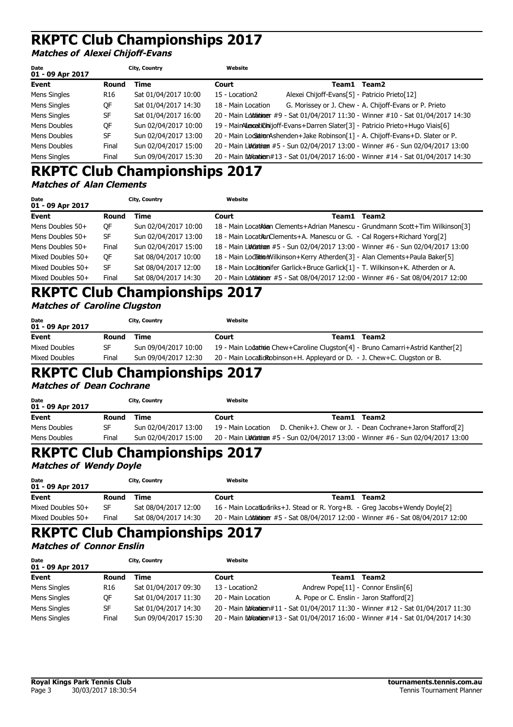**Matches of Alexei Chijoff-Evans**

| Date<br>01 - 09 Apr 2017 |                 | City, Country        | Website            |                                               |                                                                                       |
|--------------------------|-----------------|----------------------|--------------------|-----------------------------------------------|---------------------------------------------------------------------------------------|
| Event                    | Round           | Time                 | Court              |                                               | Team1 Team2                                                                           |
| Mens Singles             | R <sub>16</sub> | Sat 01/04/2017 10:00 | 15 - Location2     | Alexei Chijoff-Evans[5] - Patricio Prieto[12] |                                                                                       |
| Mens Singles             | OF              | Sat 01/04/2017 14:30 | 18 - Main Location |                                               | G. Morissey or J. Chew - A. Chijoff-Evans or P. Prieto                                |
| Mens Singles             | SF              | Sat 01/04/2017 16:00 |                    |                                               | 20 - Main Lolofaininger #9 - Sat 01/04/2017 11:30 - Winner #10 - Sat 01/04/2017 14:30 |
| Mens Doubles             | 0F              | Sun 02/04/2017 10:00 |                    |                                               | 19 - MainAlexaitionijoff-Evans+Darren Slater[3] - Patricio Prieto+Hugo Viais[6]       |
| Mens Doubles             | SF              | Sun 02/04/2017 13:00 |                    |                                               | 20 - Main Locsation Ashenden + Jake Robinson [1] - A. Chijoff-Evans + D. Slater or P. |
| Mens Doubles             | Final           | Sun 02/04/2017 15:00 |                    |                                               | 20 - Main Lovetatingen #5 - Sun 02/04/2017 13:00 - Winner #6 - Sun 02/04/2017 13:00   |
| Mens Singles             | Final           | Sun 09/04/2017 15:30 |                    |                                               | 20 - Main Loviganien#13 - Sat 01/04/2017 16:00 - Winner #14 - Sat 01/04/2017 14:30    |

### **RKPTC Club Championships 2017 Matches of Alan Clements**

| Date<br>01 - 09 Apr 2017 |       | City, Country        | Website |       |                                                                                       |
|--------------------------|-------|----------------------|---------|-------|---------------------------------------------------------------------------------------|
| Event                    | Round | Time                 | Court   | Team1 | Team2                                                                                 |
| Mens Doubles $50+$       | 0F    | Sun 02/04/2017 10:00 |         |       | 18 - Main Locat Adam Clements + Adrian Manescu - Grundmann Scott + Tim Wilkinson [3]  |
| Mens Doubles 50+         | SF    | Sun 02/04/2017 13:00 |         |       | 18 - Main LocationClements+A. Manescu or G. - Cal Rogers+Richard Yorg[2]              |
| Mens Doubles $50+$       | Final | Sun 02/04/2017 15:00 |         |       | 18 - Main Loldiatinem #5 - Sun 02/04/2017 13:00 - Winner #6 - Sun 02/04/2017 13:00    |
| Mixed Doubles 50+        | 0F    | Sat 08/04/2017 10:00 |         |       | 18 - Main LocaitionWilkinson+Kerry Atherden[3] - Alan Clements+Paula Baker[5]         |
| Mixed Doubles 50+        | SF    | Sat 08/04/2017 12:00 |         |       | 18 - Main Locationifer Garlick+Bruce Garlick[1] - T. Wilkinson+K. Atherden or A.      |
| Mixed Doubles 50+        | Final | Sat 08/04/2017 14:30 |         |       | 20 - Main Lolotatilioner #5 - Sat 08/04/2017 12:00 - Winner #6 - Sat 08/04/2017 12:00 |

## **RKPTC Club Championships 2017 Matches of Caroline Clugston**

| Date<br>01 - 09 Apr 2017 |       | City, Country        | Website |       |                                                                                  |
|--------------------------|-------|----------------------|---------|-------|----------------------------------------------------------------------------------|
| Event                    | Round | Time                 | Court   | Team1 | Team2                                                                            |
| Mixed Doubles            | SF    | Sun 09/04/2017 10:00 |         |       | 19 - Main Lodation Chew+Caroline Clugston [4] - Bruno Camarri+Astrid Kanther [2] |
| Mixed Doubles            | Final | Sun 09/04/2017 12:30 |         |       | 20 - Main Locatio Robinson + H. Appleyard or D. - J. Chew + C. Clugston or B.    |

## **RKPTC Club Championships 2017**

**Matches of Dean Cochrane**

| Date<br>01 - 09 Apr 2017 |       | City, Country        | Website            |                                                                                |
|--------------------------|-------|----------------------|--------------------|--------------------------------------------------------------------------------|
| Event                    | Round | Time                 | Court              | Team1<br>Team2                                                                 |
| Mens Doubles             | SF.   | Sun 02/04/2017 13:00 | 19 - Main Location | D. Chenik+J. Chew or J. - Dean Cochrane+Jaron Stafford[2]                      |
| Mens Doubles             | Final | Sun 02/04/2017 15:00 |                    | 20 - Main Loveton #5 - Sun 02/04/2017 13:00 - Winner #6 - Sun 02/04/2017 13:00 |

# **RKPTC Club Championships 2017**

#### **Matches of Wendy Doyle**

| Date<br>01 - 09 Apr 2017 |       | City, Country        | Website                                                                               |       |       |
|--------------------------|-------|----------------------|---------------------------------------------------------------------------------------|-------|-------|
| Event                    | Round | Time                 | Court                                                                                 | Team1 | Team2 |
| Mixed Doubles 50+        | SF    | Sat 08/04/2017 12:00 | 16 - Main Location Triks+J. Stead or R. Yorg+B. - Greg Jacobs+Wendy Doyle[2]          |       |       |
| Mixed Doubles 50+        | Final | Sat 08/04/2017 14:30 | 20 - Main Lolofailuiouer #5 - Sat 08/04/2017 12:00 - Winner #6 - Sat 08/04/2017 12:00 |       |       |

#### **RKPTC Club Championships 2017 Matches of Connor Enslin**

| Date<br>01 - 09 Apr 2017 |                 | City, Country        | Website            |                                          |                                                                                  |
|--------------------------|-----------------|----------------------|--------------------|------------------------------------------|----------------------------------------------------------------------------------|
| Event                    | Round           | Time                 | Court              | Team1                                    | Team2                                                                            |
| Mens Singles             | R <sub>16</sub> | Sat 01/04/2017 09:30 | 13 - Location2     | Andrew Pope[11] - Connor Enslin[6]       |                                                                                  |
| Mens Singles             | ОF              | Sat 01/04/2017 11:30 | 20 - Main Location | A. Pope or C. Enslin - Jaron Stafford[2] |                                                                                  |
| Mens Singles             | SF              | Sat 01/04/2017 14:30 |                    |                                          | 20 - Main Worangen#11 - Sat 01/04/2017 11:30 - Winner #12 - Sat 01/04/2017 11:30 |
| Mens Singles             | Final           | Sun 09/04/2017 15:30 |                    |                                          | 20 - Main Worangen#13 - Sat 01/04/2017 16:00 - Winner #14 - Sat 01/04/2017 14:30 |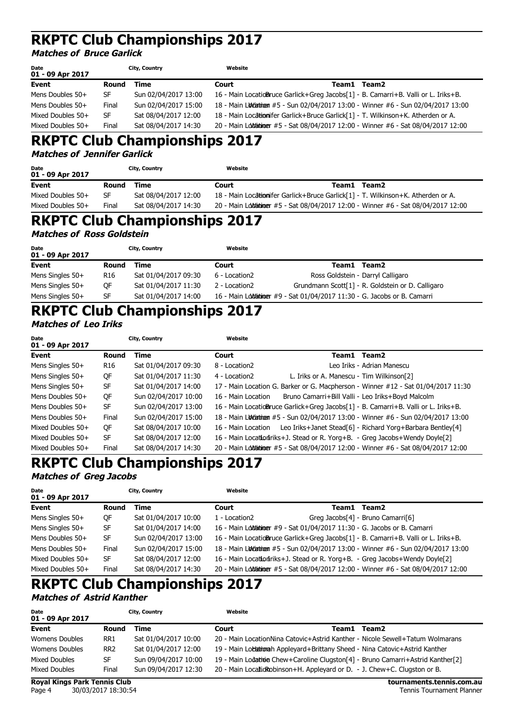**Matches of Bruce Garlick**

| Date<br>01 - 09 Apr 2017 |           | City, Country        | Website |                                                                                      |
|--------------------------|-----------|----------------------|---------|--------------------------------------------------------------------------------------|
| Event                    | Round     | Time                 | Court   | Team1 Team2                                                                          |
| Mens Doubles 50+         | SF        | Sun 02/04/2017 13:00 |         | 16 - Main LocatioBruce Garlick+Greg Jacobs[1] - B. Camarri+B. Valli or L. Iriks+B.   |
| Mens Doubles 50+         | Final     | Sun 02/04/2017 15:00 |         | 18 - Main Luddiatinum #5 - Sun 02/04/2017 13:00 - Winner #6 - Sun 02/04/2017 13:00   |
| Mixed Doubles 50+        | <b>SF</b> | Sat 08/04/2017 12:00 |         | 18 - Main Locationifer Garlick+Bruce Garlick[1] - T. Wilkinson+K. Atherden or A.     |
| Mixed Doubles 50+        | Final     | Sat 08/04/2017 14:30 |         | 20 - Main Lolofaibioger #5 - Sat 08/04/2017 12:00 - Winner #6 - Sat 08/04/2017 12:00 |

# **RKPTC Club Championships 2017**

**Matches of Jennifer Garlick**

| Date<br>01 - 09 Apr 2017 |       | City, Country        | Website |       |                                                                                       |
|--------------------------|-------|----------------------|---------|-------|---------------------------------------------------------------------------------------|
| Event                    | Round | Time                 | Court   | Team1 | Team2                                                                                 |
| Mixed Doubles 50+        | SF    | Sat 08/04/2017 12:00 |         |       | 18 - Main Locationifer Garlick+Bruce Garlick[1] - T. Wilkinson+K. Atherden or A.      |
| Mixed Doubles 50+        | Final | Sat 08/04/2017 14:30 |         |       | 20 - Main Lolofaibiloner #5 - Sat 08/04/2017 12:00 - Winner #6 - Sat 08/04/2017 12:00 |

# **RKPTC Club Championships 2017**

**Matches of Ross Goldstein**

| Date<br>01 - 09 Apr 2017 |                 | City, Country        | Website       |                                                                             |
|--------------------------|-----------------|----------------------|---------------|-----------------------------------------------------------------------------|
| Event                    | Round           | Time                 | Court         | Team2<br>Team1                                                              |
| Mens Singles 50+         | R <sub>16</sub> | Sat 01/04/2017 09:30 | 6 - Location2 | Ross Goldstein - Darryl Calligaro                                           |
| Mens Singles 50+         | OF              | Sat 01/04/2017 11:30 | 2 - Location2 | Grundmann Scott[1] - R. Goldstein or D. Calligaro                           |
| Mens Singles 50+         | <b>SF</b>       | Sat 01/04/2017 14:00 |               | 16 - Main Lolotanino er #9 - Sat 01/04/2017 11:30 - G. Jacobs or B. Camarri |

# **RKPTC Club Championships 2017**

## **Matches of Leo Iriks**

| Date<br>01 - 09 Apr 2017 |           | City, Country        | Website            |                                                                                      |
|--------------------------|-----------|----------------------|--------------------|--------------------------------------------------------------------------------------|
| Event                    | Round     | Time                 | Court              | Team1 Team2                                                                          |
| Mens Singles 50+         | R16       | Sat 01/04/2017 09:30 | 8 - Location2      | Leo Iriks - Adrian Manescu                                                           |
| Mens Singles 50+         | QF        | Sat 01/04/2017 11:30 | 4 - Location2      | L. Iriks or A. Manescu - Tim Wilkinson[2]                                            |
| Mens Singles 50+         | <b>SF</b> | Sat 01/04/2017 14:00 |                    | 17 - Main Location G. Barker or G. Macpherson - Winner #12 - Sat 01/04/2017 11:30    |
| Mens Doubles $50+$       | QF        | Sun 02/04/2017 10:00 | 16 - Main Location | Bruno Camarri+Bill Valli - Leo Iriks+Boyd Malcolm                                    |
| Mens Doubles 50+         | <b>SF</b> | Sun 02/04/2017 13:00 |                    | 16 - Main LocatioBruce Garlick+Greg Jacobs[1] - B. Camarri+B. Valli or L. Iriks+B.   |
| Mens Doubles 50+         | Final     | Sun 02/04/2017 15:00 |                    | 18 - Main Luitinum #5 - Sun 02/04/2017 13:00 - Winner #6 - Sun 02/04/2017 13:00      |
| Mixed Doubles 50+        | QF        | Sat 08/04/2017 10:00 | 16 - Main Location | Leo Iriks+Janet Stead[6] - Richard Yorg+Barbara Bentley[4]                           |
| Mixed Doubles 50+        | SF        | Sat 08/04/2017 12:00 |                    | 16 - Main Location riks+J. Stead or R. Yorg+B. - Greg Jacobs+Wendy Doyle[2]          |
| Mixed Doubles 50+        | Final     | Sat 08/04/2017 14:30 |                    | 20 - Main Lolotaininger #5 - Sat 08/04/2017 12:00 - Winner #6 - Sat 08/04/2017 12:00 |

# **RKPTC Club Championships 2017**

#### **Matches of Greg Jacobs**

| Date<br>01 - 09 Apr 2017 |           | City, Country        | Website       |       |                                                                                      |
|--------------------------|-----------|----------------------|---------------|-------|--------------------------------------------------------------------------------------|
| <b>Event</b>             | Round     | Time                 | Court         | Team1 | Team2                                                                                |
| Mens Singles 50+         | QF        | Sat 01/04/2017 10:00 | 1 - Location2 |       | Greg Jacobs[4] - Bruno Camarri[6]                                                    |
| Mens Singles 50+         | <b>SF</b> | Sat 01/04/2017 14:00 |               |       | 16 - Main Loblationer #9 - Sat 01/04/2017 11:30 - G. Jacobs or B. Camarri            |
| Mens Doubles 50+         | SF        | Sun 02/04/2017 13:00 |               |       | 16 - Main LocatioBruce Garlick+Greg Jacobs[1] - B. Camarri+B. Valli or L. Iriks+B.   |
| Mens Doubles 50+         | Final     | Sun 02/04/2017 15:00 |               |       | 18 - Main Ludiatinum #5 - Sun 02/04/2017 13:00 - Winner #6 - Sun 02/04/2017 13:00    |
| Mixed Doubles 50+        | SF        | Sat 08/04/2017 12:00 |               |       | 16 - Main Location Triks+J. Stead or R. Yorg+B. - Greg Jacobs+Wendy Doyle[2]         |
| Mixed Doubles 50+        | Final     | Sat 08/04/2017 14:30 |               |       | 20 - Main Lolotaininger #5 - Sat 08/04/2017 12:00 - Winner #6 - Sat 08/04/2017 12:00 |

# **RKPTC Club Championships 2017**

### **Matches of Astrid Kanther**

| <b>Date</b><br>01 - 09 Apr 2017 |                 | City, Country        | Website |       |                                                                                  |
|---------------------------------|-----------------|----------------------|---------|-------|----------------------------------------------------------------------------------|
| Event                           | Round           | Time                 | Court   | Team1 | Team <sub>2</sub>                                                                |
| Womens Doubles                  | RR1             | Sat 01/04/2017 10:00 |         |       | 20 - Main LocationNina Catovic+Astrid Kanther - Nicole Sewell+Tatum Wolmarans    |
| Womens Doubles                  | RR <sub>2</sub> | Sat 01/04/2017 12:00 |         |       | 19 - Main Lochationah Appleyard+Brittany Sheed - Nina Catovic+Astrid Kanther     |
| <b>Mixed Doubles</b>            | SF              | Sun 09/04/2017 10:00 |         |       | 19 - Main Lodation Chew+Caroline Clugston [4] - Bruno Camarri+Astrid Kanther [2] |
| Mixed Doubles                   | Final           | Sun 09/04/2017 12:30 |         |       | 20 - Main Locatio Robinson + H. Appleyard or D. - J. Chew + C. Clugston or B.    |

**Royal Kings Park Tennis Club tournaments.tennis.com.au**

Page 4 30/03/2017 18:30:54 Tennis Tournament Planner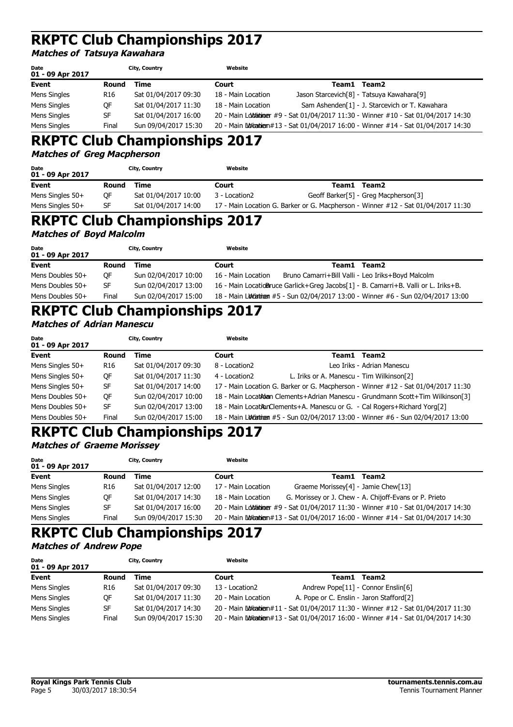#### **Matches of Tatsuya Kawahara**

| Date<br>01 - 09 Apr 2017 |                 | City, Country        | Website            |       |                                                                                       |
|--------------------------|-----------------|----------------------|--------------------|-------|---------------------------------------------------------------------------------------|
| Event                    | Round           | Time                 | Court              | Team1 | Team2                                                                                 |
| Mens Singles             | R <sub>16</sub> | Sat 01/04/2017 09:30 | 18 - Main Location |       | Jason Starcevich <sup>[8]</sup> - Tatsuya Kawahara <sup>[9]</sup>                     |
| Mens Singles             | ОF              | Sat 01/04/2017 11:30 | 18 - Main Location |       | Sam Ashenden[1] - J. Starcevich or T. Kawahara                                        |
| Mens Singles             | <b>SF</b>       | Sat 01/04/2017 16:00 |                    |       | 20 - Main Lolofaininger #9 - Sat 01/04/2017 11:30 - Winner #10 - Sat 01/04/2017 14:30 |
| Mens Singles             | Final           | Sun 09/04/2017 15:30 |                    |       | 20 - Main Loviganien#13 - Sat 01/04/2017 16:00 - Winner #14 - Sat 01/04/2017 14:30    |

# **RKPTC Club Championships 2017**

#### **Matches of Greg Macpherson**

| Date<br>01 - 09 Apr 2017 |       | City, Country        | Website       |       |                                                                                   |
|--------------------------|-------|----------------------|---------------|-------|-----------------------------------------------------------------------------------|
| <b>Event</b>             | Round | Time                 | Court         | Team1 | Team2                                                                             |
| Mens Singles $50+$       | OF    | Sat 01/04/2017 10:00 | 3 - Location2 |       | Geoff Barker[5] - Greg Macpherson[3]                                              |
| Mens Singles $50+$       | SF    | Sat 01/04/2017 14:00 |               |       | 17 - Main Location G. Barker or G. Macpherson - Winner #12 - Sat 01/04/2017 11:30 |

## **RKPTC Club Championships 2017**

**Matches of Boyd Malcolm**

| <b>Date</b><br>01 - 09 Apr 2017 |           | City, Country        | Website            |                                                                                    |  |
|---------------------------------|-----------|----------------------|--------------------|------------------------------------------------------------------------------------|--|
| Event                           | Round     | Time                 | Court              | Team1<br>Team2                                                                     |  |
| Mens Doubles 50+                | <b>OF</b> | Sun 02/04/2017 10:00 | 16 - Main Location | Bruno Camarri+Bill Valli - Leo Iriks+Boyd Malcolm                                  |  |
| Mens Doubles 50+                | <b>SF</b> | Sun 02/04/2017 13:00 |                    | 16 - Main LocatioBruce Garlick+Greg Jacobs[1] - B. Camarri+B. Valli or L. Iriks+B. |  |
| Mens Doubles 50+                | Final     | Sun 02/04/2017 15:00 |                    | 18 - Main Ludcation #5 - Sun 02/04/2017 13:00 - Winner #6 - Sun 02/04/2017 13:00   |  |

# **RKPTC Club Championships 2017**

## **Matches of Adrian Manescu**

| Date<br>01 - 09 Apr 2017 |                 | City, Country        | Website       |                                                                                    |
|--------------------------|-----------------|----------------------|---------------|------------------------------------------------------------------------------------|
| <b>Event</b>             | Round           | Time                 | Court         | Team <sub>2</sub><br>Team1                                                         |
| Mens Singles 50+         | R <sub>16</sub> | Sat 01/04/2017 09:30 | 8 - Location2 | Leo Iriks - Adrian Manescu                                                         |
| Mens Singles 50+         | QF              | Sat 01/04/2017 11:30 | 4 - Location2 | L. Iriks or A. Manescu - Tim Wilkinson[2]                                          |
| Mens Singles 50+         | SF              | Sat 01/04/2017 14:00 |               | 17 - Main Location G. Barker or G. Macpherson - Winner #12 - Sat 01/04/2017 11:30  |
| Mens Doubles 50+         | QF              | Sun 02/04/2017 10:00 |               | 18 - Main Locat Adam Clements+Adrian Manescu - Grundmann Scott+Tim Wilkinson[3]    |
| Mens Doubles 50+         | SF              | Sun 02/04/2017 13:00 |               | 18 - Main LocationClements+A. Manescu or G. - Cal Rogers+Richard Yorg[2]           |
| Mens Doubles 50+         | Final           | Sun 02/04/2017 15:00 |               | 18 - Main Luddiatinum #5 - Sun 02/04/2017 13:00 - Winner #6 - Sun 02/04/2017 13:00 |

## **RKPTC Club Championships 2017**

### **Matches of Graeme Morissey**

| Date<br>01 - 09 Apr 2017 |                 | City, Country        | Website            |                                                                                       |  |
|--------------------------|-----------------|----------------------|--------------------|---------------------------------------------------------------------------------------|--|
| <b>Event</b>             | Round           | Time                 | Court              | Team2<br>Team1                                                                        |  |
| Mens Singles             | R <sub>16</sub> | Sat 01/04/2017 12:00 | 17 - Main Location | Graeme Morissey[4] - Jamie Chew[13]                                                   |  |
| Mens Singles             | 0F              | Sat 01/04/2017 14:30 | 18 - Main Location | G. Morissey or J. Chew - A. Chijoff-Evans or P. Prieto                                |  |
| Mens Singles             | SF              | Sat 01/04/2017 16:00 |                    | 20 - Main Lolofaininger #9 - Sat 01/04/2017 11:30 - Winner #10 - Sat 01/04/2017 14:30 |  |
| Mens Singles             | Final           | Sun 09/04/2017 15:30 |                    | 20 - Main Loviganien#13 - Sat 01/04/2017 16:00 - Winner #14 - Sat 01/04/2017 14:30    |  |

### **RKPTC Club Championships 2017 Matches of Andrew Pope**

| Date<br>01 - 09 Apr 2017 |                 | City, Country        | Website            |                                                                                     |
|--------------------------|-----------------|----------------------|--------------------|-------------------------------------------------------------------------------------|
| Event                    | Round           | Time                 | Court              | Team2<br>Team1                                                                      |
| Mens Singles             | R <sub>16</sub> | Sat 01/04/2017 09:30 | 13 - Location2     | Andrew Pope[11] - Connor Enslin[6]                                                  |
| Mens Singles             | ОF              | Sat 01/04/2017 11:30 | 20 - Main Location | A. Pope or C. Enslin - Jaron Stafford[2]                                            |
| Mens Singles             | <b>SF</b>       | Sat 01/04/2017 14:30 |                    | 20 - Main Luviganien #11 - Sat 01/04/2017 11:30 - Winner #12 - Sat 01/04/2017 11:30 |
| Mens Singles             | Final           | Sun 09/04/2017 15:30 |                    | 20 - Main Luvigatien#13 - Sat 01/04/2017 16:00 - Winner #14 - Sat 01/04/2017 14:30  |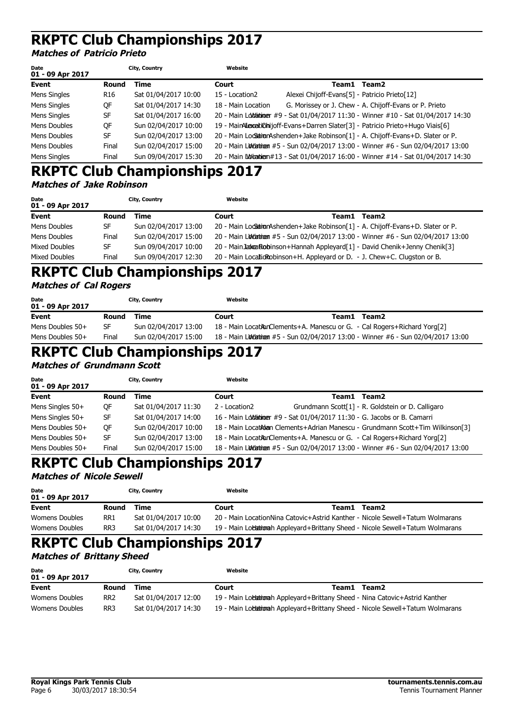**Matches of Patricio Prieto**

| Date<br>01 - 09 Apr 2017 |       | City, Country        | Website            |                                               |                                                                                       |
|--------------------------|-------|----------------------|--------------------|-----------------------------------------------|---------------------------------------------------------------------------------------|
| Event                    | Round | Time                 | Court              |                                               | Team1 Team2                                                                           |
| Mens Singles             | R16   | Sat 01/04/2017 10:00 | 15 - Location2     | Alexei Chijoff-Evans[5] - Patricio Prieto[12] |                                                                                       |
| Mens Singles             | OF    | Sat 01/04/2017 14:30 | 18 - Main Location |                                               | G. Morissey or J. Chew - A. Chijoff-Evans or P. Prieto                                |
| Mens Singles             | SF    | Sat 01/04/2017 16:00 |                    |                                               | 20 - Main Lolofaininger #9 - Sat 01/04/2017 11:30 - Winner #10 - Sat 01/04/2017 14:30 |
| Mens Doubles             | OF    | Sun 02/04/2017 10:00 |                    |                                               | 19 - MainAlexaitionijoff-Evans+Darren Slater[3] - Patricio Prieto+Hugo Viais[6]       |
| Mens Doubles             | SF    | Sun 02/04/2017 13:00 |                    |                                               | 20 - Main Locsation Ashenden + Jake Robinson [1] - A. Chijoff-Evans + D. Slater or P. |
| Mens Doubles             | Final | Sun 02/04/2017 15:00 |                    |                                               | 20 - Main Lovetatingen #5 - Sun 02/04/2017 13:00 - Winner #6 - Sun 02/04/2017 13:00   |
| Mens Singles             | Final | Sun 09/04/2017 15:30 |                    |                                               | 20 - Main Lodiantien#13 - Sat 01/04/2017 16:00 - Winner #14 - Sat 01/04/2017 14:30    |

# **RKPTC Club Championships 2017**

|  | <b>Matches of Jake Robinson</b> |
|--|---------------------------------|
|--|---------------------------------|

| Date<br>01 - 09 Apr 2017 |       | City, Country        | Website |                                                                                       |
|--------------------------|-------|----------------------|---------|---------------------------------------------------------------------------------------|
| Event                    | Round | Time                 | Court   | Team2<br>Team1                                                                        |
| Mens Doubles             | SF    | Sun 02/04/2017 13:00 |         | 20 - Main Locsation Ashenden + Jake Robinson [1] - A. Chijoff-Evans + D. Slater or P. |
| Mens Doubles             | Final | Sun 02/04/2017 15:00 |         | 20 - Main Luitinum #5 - Sun 02/04/2017 13:00 - Winner #6 - Sun 02/04/2017 13:00       |
| Mixed Doubles            | SF    | Sun 09/04/2017 10:00 |         | 20 - Main Jakea Robinson + Hannah Appleyard[1] - David Chenik + Jenny Chenik[3]       |
| <b>Mixed Doubles</b>     | Final | Sun 09/04/2017 12:30 |         | 20 - Main LocaticRobinson+H. Appleyard or D. - J. Chew+C. Clugston or B.              |

### **RKPTC Club Championships 2017 Matches of Cal Rogers**

| Date<br>01 - 09 Apr 2017 |       | City, Country        | Website |                                                                                |
|--------------------------|-------|----------------------|---------|--------------------------------------------------------------------------------|
| Event                    | Round | Time                 | Court   | Team1 Team2                                                                    |
| Mens Doubles $50+$       | SF    | Sun 02/04/2017 13:00 |         | 18 - Main LocationClements+A. Manescu or G. - Cal Rogers+Richard Yorg[2]       |
| Mens Doubles $50+$       | Final | Sun 02/04/2017 15:00 |         | 18 - Main Loveton #5 - Sun 02/04/2017 13:00 - Winner #6 - Sun 02/04/2017 13:00 |

# **RKPTC Club Championships 2017**

**Matches of Grundmann Scott**

| <b>Date</b><br>01 - 09 Apr 2017 | City, Country |                      | Website       |                                                                           |                                                                                   |
|---------------------------------|---------------|----------------------|---------------|---------------------------------------------------------------------------|-----------------------------------------------------------------------------------|
| Event                           | Round         | Time                 | Court         | Team1                                                                     | Team2                                                                             |
| Mens Singles $50+$              | 0F            | Sat 01/04/2017 11:30 | 2 - Location2 |                                                                           | Grundmann Scott[1] - R. Goldstein or D. Calligaro                                 |
| Mens Singles 50+                | SF            | Sat 01/04/2017 14:00 |               | 16 - Main Loldationer #9 - Sat 01/04/2017 11:30 - G. Jacobs or B. Camarri |                                                                                   |
| Mens Doubles 50+                | OF            | Sun 02/04/2017 10:00 |               |                                                                           | 18 - Main LocatAdan Clements+Adrian Manescu - Grundmann Scott+Tim Wilkinson[3]    |
| Mens Doubles 50+                | SF            | Sun 02/04/2017 13:00 |               |                                                                           | 18 - Main LocationClements+A. Manescu or G. - Cal Rogers+Richard Yorg[2]          |
| Mens Doubles 50+                | Final         | Sun 02/04/2017 15:00 |               |                                                                           | 18 - Main Ludiatinum #5 - Sun 02/04/2017 13:00 - Winner #6 - Sun 02/04/2017 13:00 |

# **RKPTC Club Championships 2017**

## **Matches of Nicole Sewell**

| <b>Date</b><br>01 - 09 Apr 2017 |                 | City, Country        | Website                                                                       |             |  |
|---------------------------------|-----------------|----------------------|-------------------------------------------------------------------------------|-------------|--|
| Event                           | Round           | Time                 | Court                                                                         | Team1 Team2 |  |
| Womens Doubles                  | RR <sub>1</sub> | Sat 01/04/2017 10:00 | 20 - Main LocationNina Catovic+Astrid Kanther - Nicole Sewell+Tatum Wolmarans |             |  |
| Womens Doubles                  | RR <sub>3</sub> | Sat 01/04/2017 14:30 | 19 - Main Locationah Appleyard+Brittany Sheed - Nicole Sewell+Tatum Wolmarans |             |  |

## **RKPTC Club Championships 2017**

### **Matches of Brittany Sheed**

| <b>Date</b><br>01 - 09 Apr 2017 |                 | City, Country        | Website |       |                                                                               |
|---------------------------------|-----------------|----------------------|---------|-------|-------------------------------------------------------------------------------|
| Event                           | Round           | Time                 | Court   | Team1 | Team2                                                                         |
| Womens Doubles                  | RR <sub>2</sub> | Sat 01/04/2017 12:00 |         |       | 19 - Main Lobationah Appleyard+Brittany Sheed - Nina Catovic+Astrid Kanther   |
| Womens Doubles                  | RR3             | Sat 01/04/2017 14:30 |         |       | 19 - Main Locationah Appleyard+Brittany Sheed - Nicole Sewell+Tatum Wolmarans |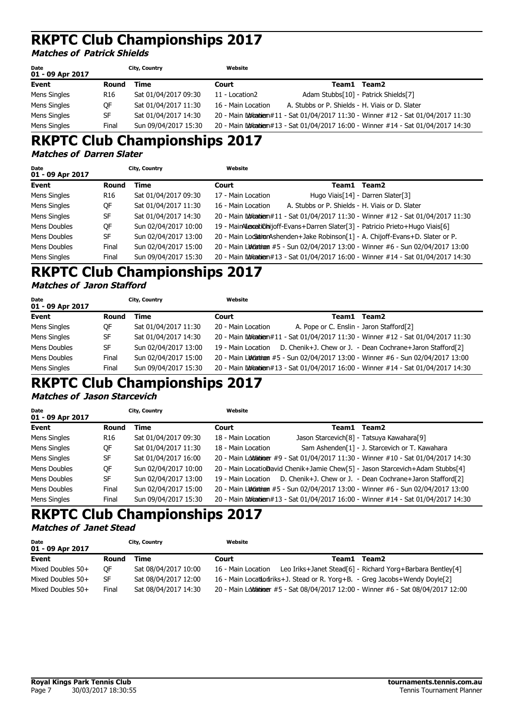#### **Matches of Patrick Shields**

| Date<br>01 - 09 Apr 2017 |                 | City, Country        | Website            |                                                 |                                                                                      |
|--------------------------|-----------------|----------------------|--------------------|-------------------------------------------------|--------------------------------------------------------------------------------------|
| Event                    | Round           | Time                 | Court              | Team1 Team2                                     |                                                                                      |
| Mens Singles             | R <sub>16</sub> | Sat 01/04/2017 09:30 | 11 - Location2     | Adam Stubbs[10] - Patrick Shields[7]            |                                                                                      |
| Mens Singles             | ОF              | Sat 01/04/2017 11:30 | 16 - Main Location | A. Stubbs or P. Shields - H. Viais or D. Slater |                                                                                      |
| Mens Singles             | SF              | Sat 01/04/2017 14:30 |                    |                                                 | 20 - Main Lovina bien #11 - Sat 01/04/2017 11:30 - Winner #12 - Sat 01/04/2017 11:30 |
| Mens Singles             | Final           | Sun 09/04/2017 15:30 |                    |                                                 | 20 - Main Lovia bien #13 - Sat 01/04/2017 16:00 - Winner #14 - Sat 01/04/2017 14:30  |

# **RKPTC Club Championships 2017**

#### **Matches of Darren Slater**

| Date<br>01 - 09 Apr 2017 |                 | City, Country        | Website            |                                                 |                                                                                       |
|--------------------------|-----------------|----------------------|--------------------|-------------------------------------------------|---------------------------------------------------------------------------------------|
| Event                    | Round           | Time                 | Court              |                                                 | Team1 Team2                                                                           |
| Mens Singles             | R <sub>16</sub> | Sat 01/04/2017 09:30 | 17 - Main Location |                                                 | Hugo Viais[14] - Darren Slater[3]                                                     |
| Mens Singles             | OF              | Sat 01/04/2017 11:30 | 16 - Main Location | A. Stubbs or P. Shields - H. Viais or D. Slater |                                                                                       |
| Mens Singles             | <b>SF</b>       | Sat 01/04/2017 14:30 |                    |                                                 | 20 - Main Lovinanien #11 - Sat 01/04/2017 11:30 - Winner #12 - Sat 01/04/2017 11:30   |
| Mens Doubles             | QF              | Sun 02/04/2017 10:00 |                    |                                                 | 19 - MainAlexaitionijoff-Evans+Darren Slater[3] - Patricio Prieto+Hugo Viais[6]       |
| Mens Doubles             | <b>SF</b>       | Sun 02/04/2017 13:00 |                    |                                                 | 20 - Main Locsation Ashenden + Jake Robinson [1] - A. Chijoff-Evans + D. Slater or P. |
| Mens Doubles             | Final           | Sun 02/04/2017 15:00 |                    |                                                 | 20 - Main Lutatinum #5 - Sun 02/04/2017 13:00 - Winner #6 - Sun 02/04/2017 13:00      |
| Mens Singles             | Final           | Sun 09/04/2017 15:30 |                    |                                                 | 20 - Main Loviganien#13 - Sat 01/04/2017 16:00 - Winner #14 - Sat 01/04/2017 14:30    |

### **RKPTC Club Championships 2017 Matches of Jaron Stafford**

| Date<br>01 - 09 Apr 2017 |       | City, Country        | Website            |                                          |                                                                                      |
|--------------------------|-------|----------------------|--------------------|------------------------------------------|--------------------------------------------------------------------------------------|
| Event                    | Round | Time                 | Court              | Team1 Team2                              |                                                                                      |
| Mens Singles             | OF    | Sat 01/04/2017 11:30 | 20 - Main Location | A. Pope or C. Enslin - Jaron Stafford[2] |                                                                                      |
| Mens Singles             | SF    | Sat 01/04/2017 14:30 |                    |                                          | 20 - Main Lovigatien#11 - Sat 01/04/2017 11:30 - Winner #12 - Sat 01/04/2017 11:30   |
| Mens Doubles             | SF    | Sun 02/04/2017 13:00 |                    |                                          | 19 - Main Location D. Chenik+J. Chew or J. - Dean Cochrane+Jaron Stafford[2]         |
| Mens Doubles             | Final | Sun 02/04/2017 15:00 |                    |                                          | 20 - Main Lovetatingen #5 - Sun 02/04/2017 13:00 - Winner #6 - Sun 02/04/2017 13:00  |
| Mens Singles             | Final | Sun 09/04/2017 15:30 |                    |                                          | 20 - Main Ludian bien #13 - Sat 01/04/2017 16:00 - Winner #14 - Sat 01/04/2017 14:30 |

# **RKPTC Club Championships 2017**

#### **Matches of Jason Starcevich**

| Date<br>01 - 09 Apr 2017 |       | City, Country        | Website            |       |                                                                                       |
|--------------------------|-------|----------------------|--------------------|-------|---------------------------------------------------------------------------------------|
| <b>Event</b>             | Round | Time                 | Court              | Team1 | Team2                                                                                 |
| Mens Singles             | R16   | Sat 01/04/2017 09:30 | 18 - Main Location |       | Jason Starcevich <sup>[8]</sup> - Tatsuya Kawahara <sup>[9]</sup>                     |
| Mens Singles             | QF    | Sat 01/04/2017 11:30 | 18 - Main Location |       | Sam Ashenden[1] - J. Starcevich or T. Kawahara                                        |
| Mens Singles             | SF    | Sat 01/04/2017 16:00 |                    |       | 20 - Main Lolofaibioner #9 - Sat 01/04/2017 11:30 - Winner #10 - Sat 01/04/2017 14:30 |
| Mens Doubles             | QF    | Sun 02/04/2017 10:00 |                    |       | 20 - Main LocatioDavid Chenik+Jamie Chew[5] - Jason Starcevich+Adam Stubbs[4]         |
| Mens Doubles             | SF    | Sun 02/04/2017 13:00 |                    |       | 19 - Main Location D. Chenik+J. Chew or J. - Dean Cochrane+Jaron Stafford[2]          |
| Mens Doubles             | Final | Sun 02/04/2017 15:00 |                    |       | 20 - Main Lovetatingen #5 - Sun 02/04/2017 13:00 - Winner #6 - Sun 02/04/2017 13:00   |
| Mens Singles             | Final | Sun 09/04/2017 15:30 |                    |       | 20 - Main Luvigatien#13 - Sat 01/04/2017 16:00 - Winner #14 - Sat 01/04/2017 14:30    |

### **RKPTC Club Championships 2017 Matches of Janet Stead**

| Date<br>01 - 09 Apr 2017 |           | City, Country        | Website            |                                                                                      |
|--------------------------|-----------|----------------------|--------------------|--------------------------------------------------------------------------------------|
| Event                    | Round     | Time                 | Court              | Team1 Team2                                                                          |
| Mixed Doubles 50+        | 0F        | Sat 08/04/2017 10:00 | 16 - Main Location | Leo Iriks+Janet Stead[6] - Richard Yorg+Barbara Bentley[4]                           |
| Mixed Doubles 50+        | <b>SF</b> | Sat 08/04/2017 12:00 |                    | 16 - Main Location Triks+J. Stead or R. Yorg+B. - Greg Jacobs+Wendy Doyle[2]         |
| Mixed Doubles 50+        | Final     | Sat 08/04/2017 14:30 |                    | 20 - Main Lolofaibioger #5 - Sat 08/04/2017 12:00 - Winner #6 - Sat 08/04/2017 12:00 |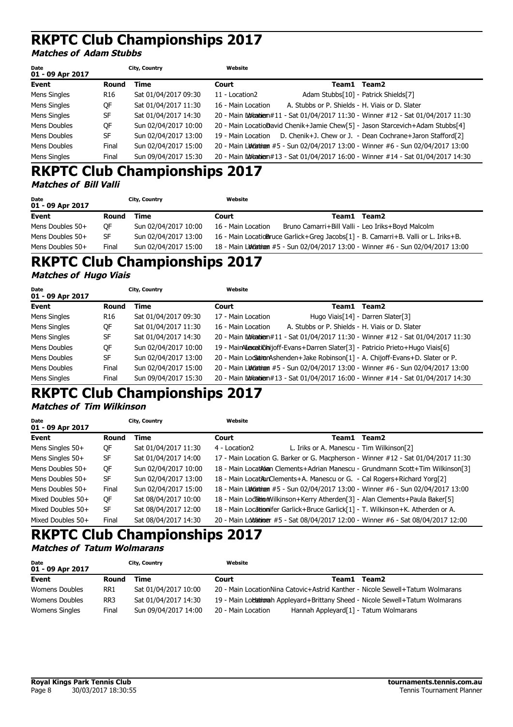#### **Matches of Adam Stubbs**

| Date<br>01 - 09 Apr 2017 |                 | City, Country        | Website            |                                                 |                                                                                      |
|--------------------------|-----------------|----------------------|--------------------|-------------------------------------------------|--------------------------------------------------------------------------------------|
| Event                    | Round           | Time                 | Court              |                                                 | Team1 Team2                                                                          |
| Mens Singles             | R <sub>16</sub> | Sat 01/04/2017 09:30 | 11 - Location2     |                                                 | Adam Stubbs[10] - Patrick Shields[7]                                                 |
| Mens Singles             | 0F              | Sat 01/04/2017 11:30 | 16 - Main Location | A. Stubbs or P. Shields - H. Viais or D. Slater |                                                                                      |
| Mens Singles             | SF              | Sat 01/04/2017 14:30 |                    |                                                 | 20 - Main Loina dien#11 - Sat 01/04/2017 11:30 - Winner #12 - Sat 01/04/2017 11:30   |
| Mens Doubles             | QF              | Sun 02/04/2017 10:00 |                    |                                                 | 20 - Main LocatioDavid Chenik+Jamie Chew[5] - Jason Starcevich+Adam Stubbs[4]        |
| Mens Doubles             | <b>SF</b>       | Sun 02/04/2017 13:00 |                    |                                                 | 19 - Main Location D. Chenik+J. Chew or J. - Dean Cochrane+Jaron Stafford[2]         |
| Mens Doubles             | Final           | Sun 02/04/2017 15:00 |                    |                                                 | 20 - Main Lovetatingen #5 - Sun 02/04/2017 13:00 - Winner #6 - Sun 02/04/2017 13:00  |
| Mens Singles             | Final           | Sun 09/04/2017 15:30 |                    |                                                 | 20 - Main Lodia blenn #13 - Sat 01/04/2017 16:00 - Winner #14 - Sat 01/04/2017 14:30 |

### **RKPTC Club Championships 2017 Matches of Bill Valli**

| Date<br>01 - 09 Apr 2017 |       | City, Country        | Website            |       |                                                                                    |
|--------------------------|-------|----------------------|--------------------|-------|------------------------------------------------------------------------------------|
| Event                    | Round | Time                 | Court              | Team1 | Team2                                                                              |
| Mens Doubles 50+         | OF    | Sun 02/04/2017 10:00 | 16 - Main Location |       | Bruno Camarri+Bill Valli - Leo Iriks+Boyd Malcolm                                  |
| Mens Doubles 50+         | SF    | Sun 02/04/2017 13:00 |                    |       | 16 - Main LocatioBruce Garlick+Greg Jacobs[1] - B. Camarri+B. Valli or L. Iriks+B. |
| Mens Doubles $50+$       | Final | Sun 02/04/2017 15:00 |                    |       | 18 - Main Ludiatinem #5 - Sun 02/04/2017 13:00 - Winner #6 - Sun 02/04/2017 13:00  |

# **RKPTC Club Championships 2017**

#### **Matches of Hugo Viais**

| Date<br>01 - 09 Apr 2017 |           | City, Country        | Website            |                                                 |                                                                                       |
|--------------------------|-----------|----------------------|--------------------|-------------------------------------------------|---------------------------------------------------------------------------------------|
| Event                    | Round     | Time                 | Court              | Team1 Team2                                     |                                                                                       |
| Mens Singles             | R16       | Sat 01/04/2017 09:30 | 17 - Main Location |                                                 | Hugo Viais[14] - Darren Slater[3]                                                     |
| Mens Singles             | QF        | Sat 01/04/2017 11:30 | 16 - Main Location | A. Stubbs or P. Shields - H. Viais or D. Slater |                                                                                       |
| Mens Singles             | SF        | Sat 01/04/2017 14:30 |                    |                                                 | 20 - Main Worta tatlam #11 - Sat 01/04/2017 11:30 - Winner #12 - Sat 01/04/2017 11:30 |
| Mens Doubles             | QF        | Sun 02/04/2017 10:00 |                    |                                                 | 19 - MainAlexeitionijoff-Evans+Darren Slater[3] - Patricio Prieto+Hugo Viais[6]       |
| Mens Doubles             | <b>SF</b> | Sun 02/04/2017 13:00 |                    |                                                 | 20 - Main Locsation Ashenden + Jake Robinson [1] - A. Chijoff-Evans + D. Slater or P. |
| Mens Doubles             | Final     | Sun 02/04/2017 15:00 |                    |                                                 | 20 - Main Ludiatinum #5 - Sun 02/04/2017 13:00 - Winner #6 - Sun 02/04/2017 13:00     |
| Mens Singles             | Final     | Sun 09/04/2017 15:30 |                    |                                                 | 20 - Main Lodiantien#13 - Sat 01/04/2017 16:00 - Winner #14 - Sat 01/04/2017 14:30    |

### **RKPTC Club Championships 2017 Matches of Tim Wilkinson**

| Date<br>01 - 09 Apr 2017 |           | City, Country        | Website       |                                                                                |                                                                                      |
|--------------------------|-----------|----------------------|---------------|--------------------------------------------------------------------------------|--------------------------------------------------------------------------------------|
| Event                    | Round     | Time                 | Court         | Team1                                                                          | Team2                                                                                |
| Mens Singles 50+         | QF        | Sat 01/04/2017 11:30 | 4 - Location2 | L. Iriks or A. Manescu - Tim Wilkinson[2]                                      |                                                                                      |
| Mens Singles 50+         | <b>SF</b> | Sat 01/04/2017 14:00 |               |                                                                                | 17 - Main Location G. Barker or G. Macpherson - Winner #12 - Sat 01/04/2017 11:30    |
| Mens Doubles 50+         | QF        | Sun 02/04/2017 10:00 |               |                                                                                | 18 - Main Locat Adam Clements+Adrian Manescu - Grundmann Scott+Tim Wilkinson[3]      |
| Mens Doubles $50+$       | SF        | Sun 02/04/2017 13:00 |               | 18 - Main Location Clements + A. Manescu or G. - Cal Rogers + Richard Yorg [2] |                                                                                      |
| Mens Doubles 50+         | Final     | Sun 02/04/2017 15:00 |               |                                                                                | 18 - Main Ludiatinum #5 - Sun 02/04/2017 13:00 - Winner #6 - Sun 02/04/2017 13:00    |
| Mixed Doubles 50+        | QF        | Sat 08/04/2017 10:00 |               |                                                                                | 18 - Main Location Wilkinson + Kerry Atherden [3] - Alan Clements + Paula Baker [5]  |
| Mixed Doubles 50+        | <b>SF</b> | Sat 08/04/2017 12:00 |               |                                                                                | 18 - Main Locationifer Garlick+Bruce Garlick[1] - T. Wilkinson+K. Atherden or A.     |
| Mixed Doubles 50+        | Final     | Sat 08/04/2017 14:30 |               |                                                                                | 20 - Main Lololaininger #5 - Sat 08/04/2017 12:00 - Winner #6 - Sat 08/04/2017 12:00 |

### **RKPTC Club Championships 2017 Matches of Tatum Wolmarans**

| Date<br>01 - 09 Apr 2017 |                 | City, Country        | Website            |                                                                               |  |
|--------------------------|-----------------|----------------------|--------------------|-------------------------------------------------------------------------------|--|
| Event                    | Round           | Time                 | Court              | Team2<br>Team1                                                                |  |
| Womens Doubles           | RR1             | Sat 01/04/2017 10:00 |                    | 20 - Main LocationNina Catovic+Astrid Kanther - Nicole Sewell+Tatum Wolmarans |  |
| Womens Doubles           | RR <sub>3</sub> | Sat 01/04/2017 14:30 |                    | 19 - Main Locationah Appleyard+Brittany Sheed - Nicole Sewell+Tatum Wolmarans |  |
| Womens Singles           | Final           | Sun 09/04/2017 14:00 | 20 - Main Location | Hannah Appleyard <sup>[1]</sup> - Tatum Wolmarans                             |  |